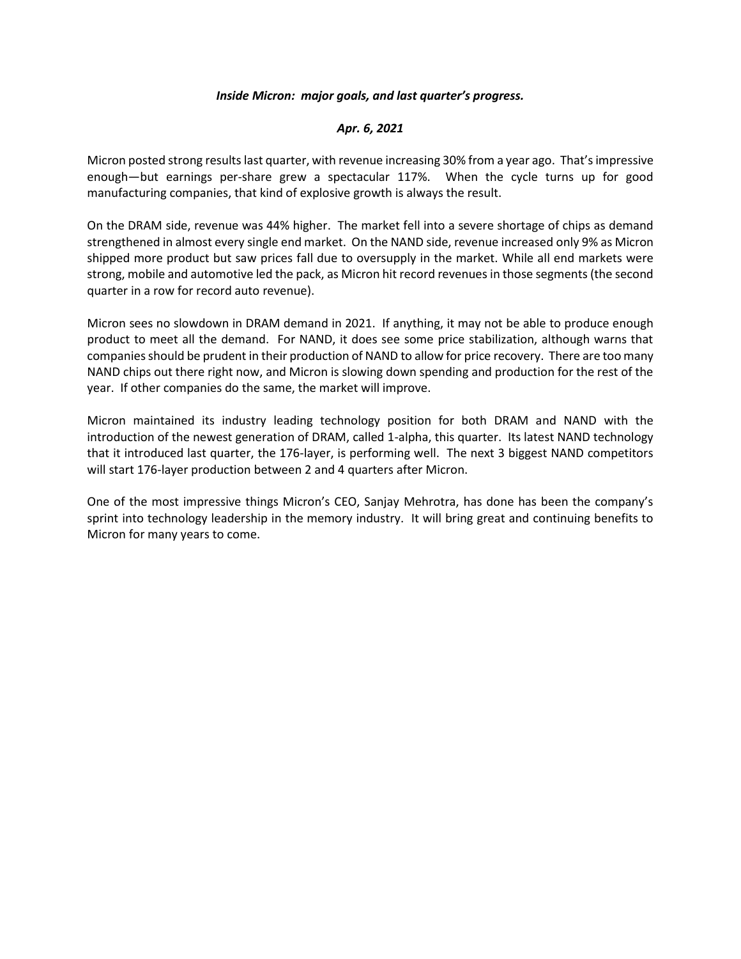## *Inside Micron: major goals, and last quarter's progress.*

## *Apr. 6, 2021*

Micron posted strong results last quarter, with revenue increasing 30% from a year ago. That's impressive enough—but earnings per-share grew a spectacular 117%. When the cycle turns up for good manufacturing companies, that kind of explosive growth is always the result.

On the DRAM side, revenue was 44% higher. The market fell into a severe shortage of chips as demand strengthened in almost every single end market. On the NAND side, revenue increased only 9% as Micron shipped more product but saw prices fall due to oversupply in the market. While all end markets were strong, mobile and automotive led the pack, as Micron hit record revenues in those segments (the second quarter in a row for record auto revenue).

Micron sees no slowdown in DRAM demand in 2021. If anything, it may not be able to produce enough product to meet all the demand. For NAND, it does see some price stabilization, although warns that companies should be prudent in their production of NAND to allow for price recovery. There are too many NAND chips out there right now, and Micron is slowing down spending and production for the rest of the year. If other companies do the same, the market will improve.

Micron maintained its industry leading technology position for both DRAM and NAND with the introduction of the newest generation of DRAM, called 1-alpha, this quarter. Its latest NAND technology that it introduced last quarter, the 176-layer, is performing well. The next 3 biggest NAND competitors will start 176-layer production between 2 and 4 quarters after Micron.

One of the most impressive things Micron's CEO, Sanjay Mehrotra, has done has been the company's sprint into technology leadership in the memory industry. It will bring great and continuing benefits to Micron for many years to come.